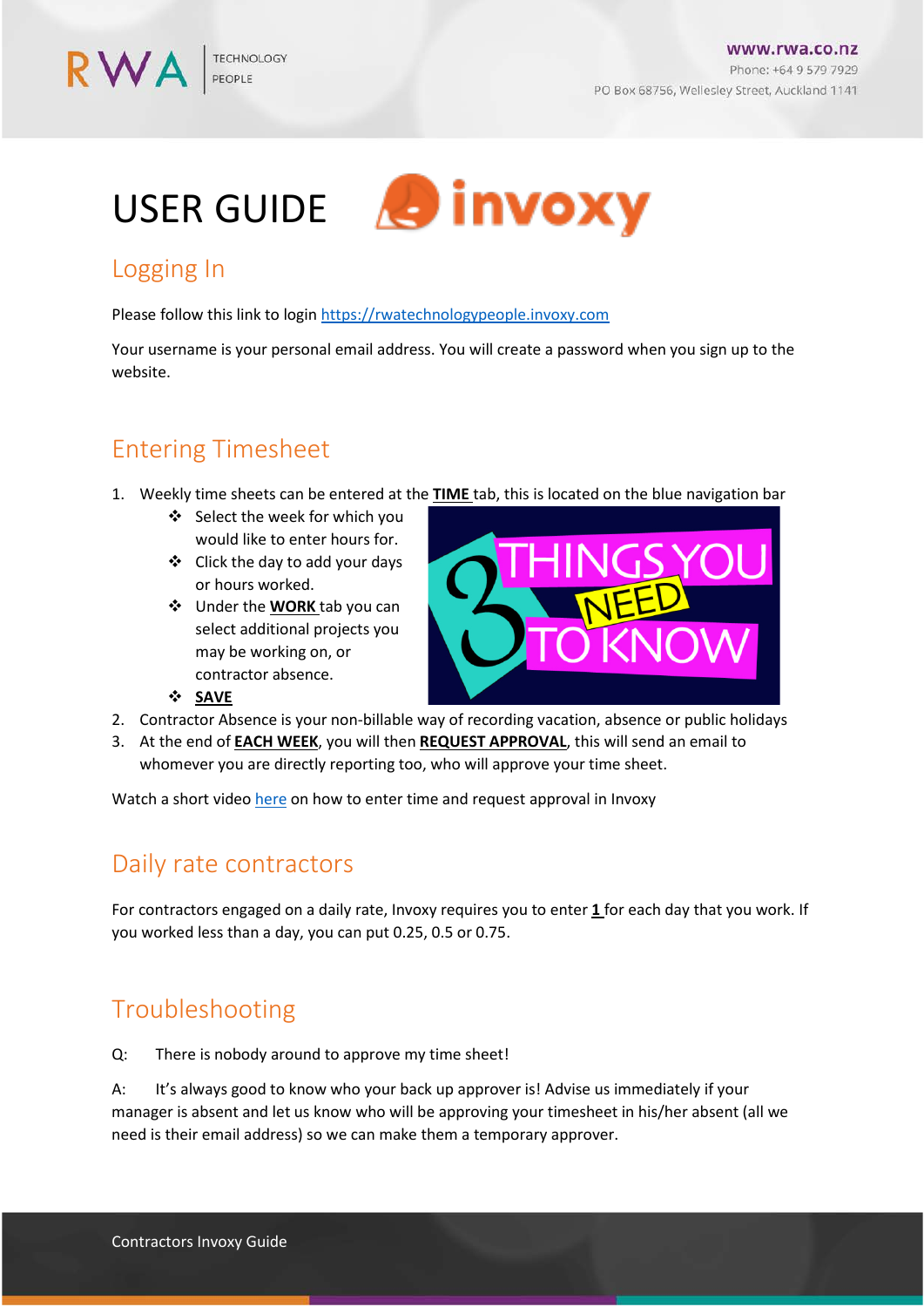www.rwa.co.nz Phone: +64 9 579 7929 PO Box 68756, Wellesley Street, Auckland 1141

# USER GUIDE & invoxy

## Logging In

RWA

Please follow this link to login [https://rwatechnologypeople.invoxy.com](https://rwatechnologypeople.invoxy.com/)

Your username is your personal email address. You will create a password when you sign up to the website.

# Entering Timesheet

- 1. Weekly time sheets can be entered at the **TIME** tab, this is located on the blue navigation bar
	- ❖ Select the week for which you would like to enter hours for.
	- $\div$  Click the day to add your days or hours worked.
	- Under the **WORK** tab you can select additional projects you may be working on, or contractor absence.



- 2. Contractor Absence is your non-billable way of recording vacation, absence or public holidays
- 3. At the end of **EACH WEEK**, you will then **REQUEST APPROVAL**, this will send an email to whomever you are directly reporting too, who will approve your time sheet.

Watch a short video [here](https://invoxy.zendesk.com/hc/en-us/articles/115003904091-Adding-Time-to-Invoxy-For-Users) on how to enter time and request approval in Invoxy

#### Daily rate contractors

For contractors engaged on a daily rate, Invoxy requires you to enter **1** for each day that you work. If you worked less than a day, you can put 0.25, 0.5 or 0.75.

## Troubleshooting

**SAVE**

Q: There is nobody around to approve my time sheet!

A: It's always good to know who your back up approver is! Advise us immediately if your manager is absent and let us know who will be approving your timesheet in his/her absent (all we need is their email address) so we can make them a temporary approver.